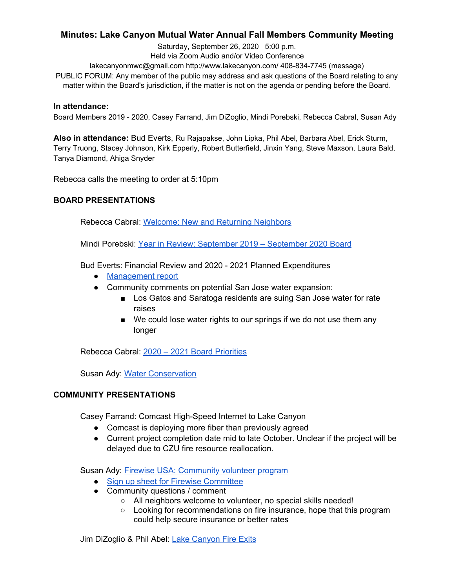# **Minutes: Lake Canyon Mutual Water Annual Fall Members Community Meeting**

Saturday, September 26, 2020 5:00 p.m. Held via Zoom Audio and/or Video Conference

lakecanyonmwc@gmail.com http://www.lakecanyon.com/ 408-834-7745 (message)

PUBLIC FORUM: Any member of the public may address and ask questions of the Board relating to any matter within the Board's jurisdiction, if the matter is not on the agenda or pending before the Board.

### **In attendance:**

Board Members 2019 - 2020, Casey Farrand, Jim DiZoglio, Mindi Porebski, Rebecca Cabral, Susan Ady

**Also in attendance:** Bud Everts, Ru Rajapakse, John Lipka, Phil Abel, Barbara Abel, Erick Sturm, Terry Truong, Stacey Johnson, Kirk Epperly, Robert Butterfield, Jinxin Yang, Steve Maxson, Laura Bald, Tanya Diamond, Ahiga Snyder

Rebecca calls the meeting to order at 5:10pm

## **BOARD PRESENTATIONS**

Rebecca Cabral: Welcome: New and Returning [Neighbors](https://7e761103-1889-4c62-a205-c99a02daa857.usrfiles.com/ugd/7e7611_ea1aabf095e14a3ab692f885c4e39ed2.pdf)

Mindi Porebski: Year in Review: [September](https://7e761103-1889-4c62-a205-c99a02daa857.usrfiles.com/ugd/7e7611_f2beeff290264cab8066f2b5539988f6.pdf) 2019 – September 2020 Board

Bud Everts: Financial Review and 2020 - 2021 Planned Expenditures

- [Management](https://7e761103-1889-4c62-a205-c99a02daa857.usrfiles.com/ugd/7e7611_2fbda42094d94c13af62ae063c277c08.pdf) report
- Community comments on potential San Jose water expansion:
	- Los Gatos and Saratoga residents are suing San Jose water for rate raises
	- We could lose water rights to our springs if we do not use them any longer

Rebecca Cabral: 2020 – 2021 Board [Priorities](https://7e761103-1889-4c62-a205-c99a02daa857.usrfiles.com/ugd/7e7611_b71396bbd1d6441d984d822b00d5925e.pdf)

Susan Ady: Water [Conservation](https://www.lakecanyon.com/water-conservation)

## **COMMUNITY PRESENTATIONS**

Casey Farrand: Comcast High-Speed Internet to Lake Canyon

- Comcast is deploying more fiber than previously agreed
- Current project completion date mid to late October. Unclear if the project will be delayed due to CZU fire resource reallocation.

Susan Ady: Firewise USA: [Community](https://drive.google.com/file/d/1qHhkpnNHwiqjMsP-EP8G-Fp4-fM6iNF1/view?usp=sharing) volunteer program

- Sign up sheet for Firewise [Committee](https://docs.google.com/spreadsheets/d/1zRvcGpZDrvzxebIDkKQDs2DJIKWVj2QAf__7ikj9zI4/edit?usp=sharing)
- Community questions / comment
	- All neighbors welcome to volunteer, no special skills needed!
	- Looking for recommendations on fire insurance, hope that this program could help secure insurance or better rates

Jim DiZoglio & Phil Abel: Lake [Canyon](https://7e761103-1889-4c62-a205-c99a02daa857.usrfiles.com/ugd/7e7611_917d9ce77f954e2cb84757d12814a00e.pdf) Fire Exits